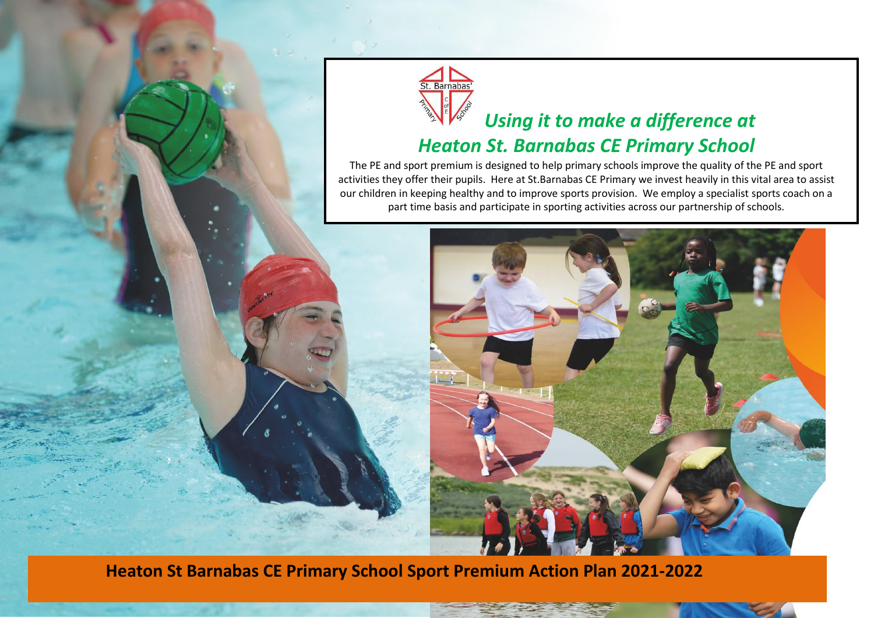



## *Using it to make a difference at*

## *Heaton St. Barnabas CE Primary School*

The PE and sport premium is designed to help primary schools improve the quality of the PE and sport activities they offer their pupils. Here at St.Barnabas CE Primary we invest heavily in this vital area to assist our children in keeping healthy and to improve sports provision. We employ a specialist sports coach on a part time basis and participate in sporting activities across our partnership of schools.



**Heaton St Barnabas CE Primary School Sport Premium Action Plan 2021-2022**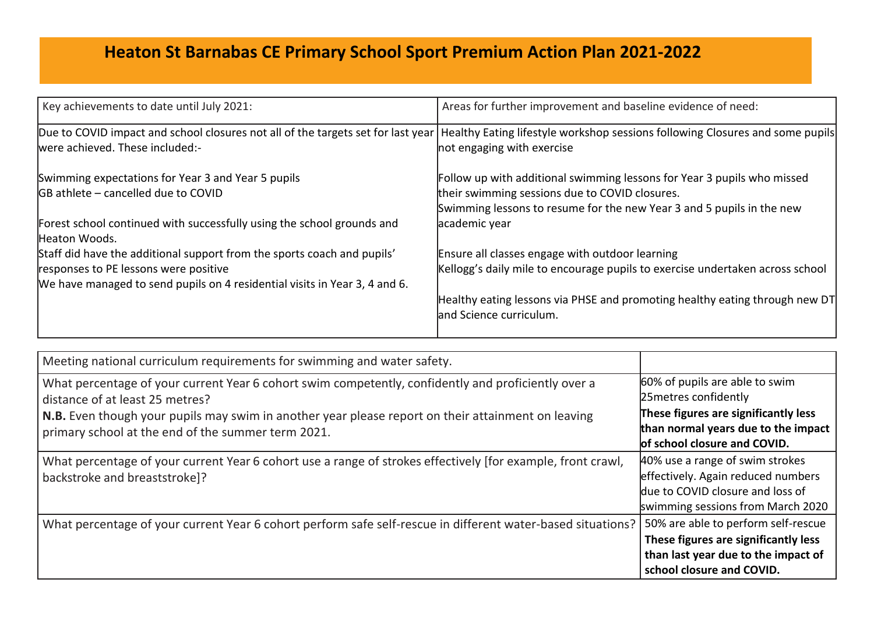## **Heaton St Barnabas CE Primary School Sport Premium Action Plan 2021-2022**

| Key achievements to date until July 2021:                                                                           | Areas for further improvement and baseline evidence of need:                                                |
|---------------------------------------------------------------------------------------------------------------------|-------------------------------------------------------------------------------------------------------------|
| Due to COVID impact and school closures not all of the targets set for last year<br>were achieved. These included:- | Healthy Eating lifestyle workshop sessions following Closures and some pupils<br>not engaging with exercise |
| Swimming expectations for Year 3 and Year 5 pupils                                                                  | Follow up with additional swimming lessons for Year 3 pupils who missed                                     |
| <b>GB</b> athlete – cancelled due to COVID                                                                          | their swimming sessions due to COVID closures.                                                              |
|                                                                                                                     | Swimming lessons to resume for the new Year 3 and 5 pupils in the new                                       |
| Forest school continued with successfully using the school grounds and                                              | academic year                                                                                               |
| Heaton Woods.                                                                                                       |                                                                                                             |
| Staff did have the additional support from the sports coach and pupils'                                             | Ensure all classes engage with outdoor learning                                                             |
| responses to PE lessons were positive                                                                               | Kellogg's daily mile to encourage pupils to exercise undertaken across school                               |
| We have managed to send pupils on 4 residential visits in Year 3, 4 and 6.                                          |                                                                                                             |
|                                                                                                                     | Healthy eating lessons via PHSE and promoting healthy eating through new DT                                 |
|                                                                                                                     | and Science curriculum.                                                                                     |
|                                                                                                                     |                                                                                                             |

| Meeting national curriculum requirements for swimming and water safety.                                                                                  |                                                                                                                                                |
|----------------------------------------------------------------------------------------------------------------------------------------------------------|------------------------------------------------------------------------------------------------------------------------------------------------|
| What percentage of your current Year 6 cohort swim competently, confidently and proficiently over a<br>distance of at least 25 metres?                   | 60% of pupils are able to swim<br>25 metres confidently                                                                                        |
| N.B. Even though your pupils may swim in another year please report on their attainment on leaving<br>primary school at the end of the summer term 2021. | These figures are significantly less<br>than normal years due to the impact<br>of school closure and COVID.                                    |
| What percentage of your current Year 6 cohort use a range of strokes effectively [for example, front crawl,<br>  backstroke and breaststroke]?           | 40% use a range of swim strokes<br>effectively. Again reduced numbers<br>due to COVID closure and loss of<br>swimming sessions from March 2020 |
| What percentage of your current Year 6 cohort perform safe self-rescue in different water-based situations?                                              | 50% are able to perform self-rescue<br>These figures are significantly less<br>than last year due to the impact of                             |
|                                                                                                                                                          | school closure and COVID.                                                                                                                      |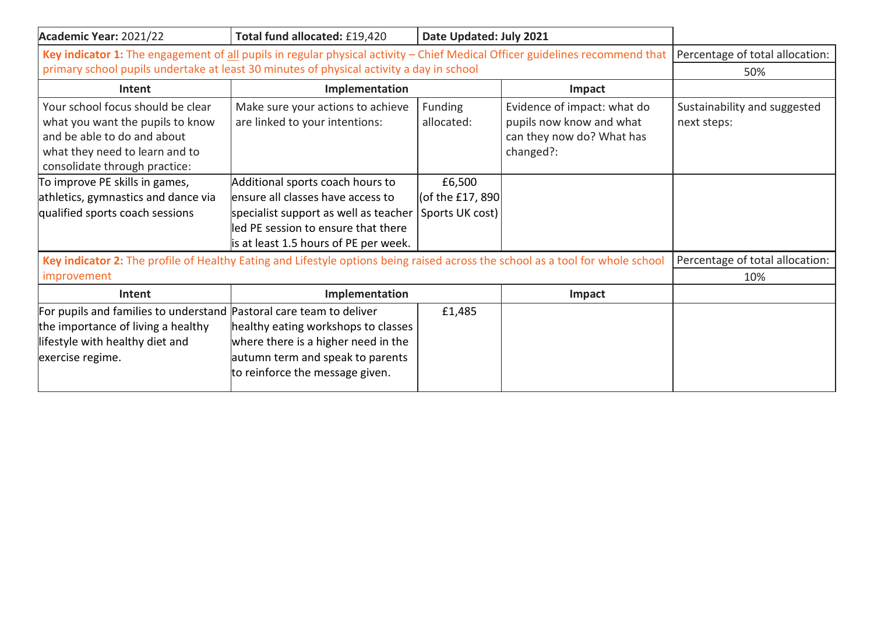| Academic Year: 2021/22                                                                                                                                                  | Total fund allocated: £19,420                                       | Date Updated: July 2021  |                                                                                                   |                                             |
|-------------------------------------------------------------------------------------------------------------------------------------------------------------------------|---------------------------------------------------------------------|--------------------------|---------------------------------------------------------------------------------------------------|---------------------------------------------|
| Key indicator 1: The engagement of all pupils in regular physical activity - Chief Medical Officer guidelines recommend that   Percentage of total allocation:          |                                                                     |                          |                                                                                                   |                                             |
| primary school pupils undertake at least 30 minutes of physical activity a day in school                                                                                |                                                                     |                          |                                                                                                   | 50%                                         |
| Intent                                                                                                                                                                  | Implementation                                                      |                          | Impact                                                                                            |                                             |
| Your school focus should be clear<br>what you want the pupils to know<br>and be able to do and about<br>what they need to learn and to<br>consolidate through practice: | Make sure your actions to achieve<br>are linked to your intentions: | Funding<br>allocated:    | Evidence of impact: what do<br>pupils now know and what<br>can they now do? What has<br>changed?: | Sustainability and suggested<br>next steps: |
| To improve PE skills in games,                                                                                                                                          | Additional sports coach hours to                                    | £6,500                   |                                                                                                   |                                             |
| athletics, gymnastics and dance via                                                                                                                                     | ensure all classes have access to                                   | $ $ (of the £17, 890 $ $ |                                                                                                   |                                             |
| qualified sports coach sessions                                                                                                                                         | specialist support as well as teacher                               | Sports UK cost)          |                                                                                                   |                                             |
|                                                                                                                                                                         | led PE session to ensure that there                                 |                          |                                                                                                   |                                             |
|                                                                                                                                                                         | is at least 1.5 hours of PE per week.                               |                          |                                                                                                   |                                             |
| Key indicator 2: The profile of Healthy Eating and Lifestyle options being raised across the school as a tool for whole school                                          |                                                                     |                          |                                                                                                   | Percentage of total allocation:             |
| improvement                                                                                                                                                             |                                                                     |                          | 10%                                                                                               |                                             |
| Intent                                                                                                                                                                  | Implementation                                                      |                          | Impact                                                                                            |                                             |
| For pupils and families to understand Pastoral care team to deliver                                                                                                     |                                                                     | £1,485                   |                                                                                                   |                                             |
| the importance of living a healthy                                                                                                                                      | healthy eating workshops to classes                                 |                          |                                                                                                   |                                             |
| lifestyle with healthy diet and                                                                                                                                         | where there is a higher need in the                                 |                          |                                                                                                   |                                             |
| exercise regime.                                                                                                                                                        | autumn term and speak to parents                                    |                          |                                                                                                   |                                             |
|                                                                                                                                                                         | to reinforce the message given.                                     |                          |                                                                                                   |                                             |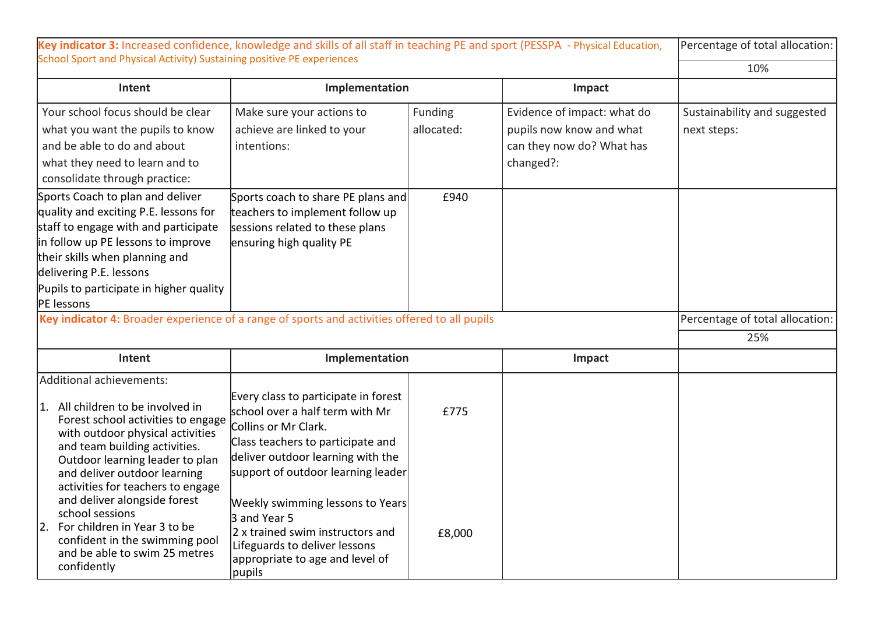| Key indicator 3: Increased confidence, knowledge and skills of all staff in teaching PE and sport (PESSPA - Physical Education,                                                                                                                                                                                                                                                                                              |                                                                                                                                                                                                                                                                                                                                                                                       |                       |                                                                                                   | Percentage of total allocation:             |
|------------------------------------------------------------------------------------------------------------------------------------------------------------------------------------------------------------------------------------------------------------------------------------------------------------------------------------------------------------------------------------------------------------------------------|---------------------------------------------------------------------------------------------------------------------------------------------------------------------------------------------------------------------------------------------------------------------------------------------------------------------------------------------------------------------------------------|-----------------------|---------------------------------------------------------------------------------------------------|---------------------------------------------|
| School Sport and Physical Activity) Sustaining positive PE experiences                                                                                                                                                                                                                                                                                                                                                       |                                                                                                                                                                                                                                                                                                                                                                                       |                       |                                                                                                   | 10%                                         |
| Intent                                                                                                                                                                                                                                                                                                                                                                                                                       | Implementation                                                                                                                                                                                                                                                                                                                                                                        |                       | Impact                                                                                            |                                             |
| Your school focus should be clear<br>what you want the pupils to know<br>and be able to do and about<br>what they need to learn and to<br>consolidate through practice:                                                                                                                                                                                                                                                      | Make sure your actions to<br>achieve are linked to your<br>intentions:                                                                                                                                                                                                                                                                                                                | Funding<br>allocated: | Evidence of impact: what do<br>pupils now know and what<br>can they now do? What has<br>changed?: | Sustainability and suggested<br>next steps: |
| Sports Coach to plan and deliver<br>quality and exciting P.E. lessons for<br>staff to engage with and participate<br>in follow up PE lessons to improve<br>their skills when planning and<br>delivering P.E. lessons<br>Pupils to participate in higher quality<br>PE lessons                                                                                                                                                | Sports coach to share PE plans and<br>teachers to implement follow up<br>sessions related to these plans<br>ensuring high quality PE                                                                                                                                                                                                                                                  | £940                  |                                                                                                   |                                             |
| Key indicator 4: Broader experience of a range of sports and activities offered to all pupils                                                                                                                                                                                                                                                                                                                                |                                                                                                                                                                                                                                                                                                                                                                                       |                       |                                                                                                   | Percentage of total allocation:             |
|                                                                                                                                                                                                                                                                                                                                                                                                                              |                                                                                                                                                                                                                                                                                                                                                                                       |                       |                                                                                                   | 25%                                         |
| Intent                                                                                                                                                                                                                                                                                                                                                                                                                       | Implementation                                                                                                                                                                                                                                                                                                                                                                        |                       | Impact                                                                                            |                                             |
| Additional achievements:                                                                                                                                                                                                                                                                                                                                                                                                     |                                                                                                                                                                                                                                                                                                                                                                                       |                       |                                                                                                   |                                             |
| 1. All children to be involved in<br>Forest school activities to engage<br>with outdoor physical activities<br>and team building activities.<br>Outdoor learning leader to plan<br>and deliver outdoor learning<br>activities for teachers to engage<br>and deliver alongside forest<br>school sessions<br>2. For children in Year 3 to be<br>confident in the swimming pool<br>and be able to swim 25 metres<br>confidently | Every class to participate in forest<br>school over a half term with Mr<br>Collins or Mr Clark.<br>Class teachers to participate and<br>deliver outdoor learning with the<br>support of outdoor learning leader<br>Weekly swimming lessons to Years<br>3 and Year 5<br>2 x trained swim instructors and<br>Lifeguards to deliver lessons<br>appropriate to age and level of<br>pupils | £775<br>£8,000        |                                                                                                   |                                             |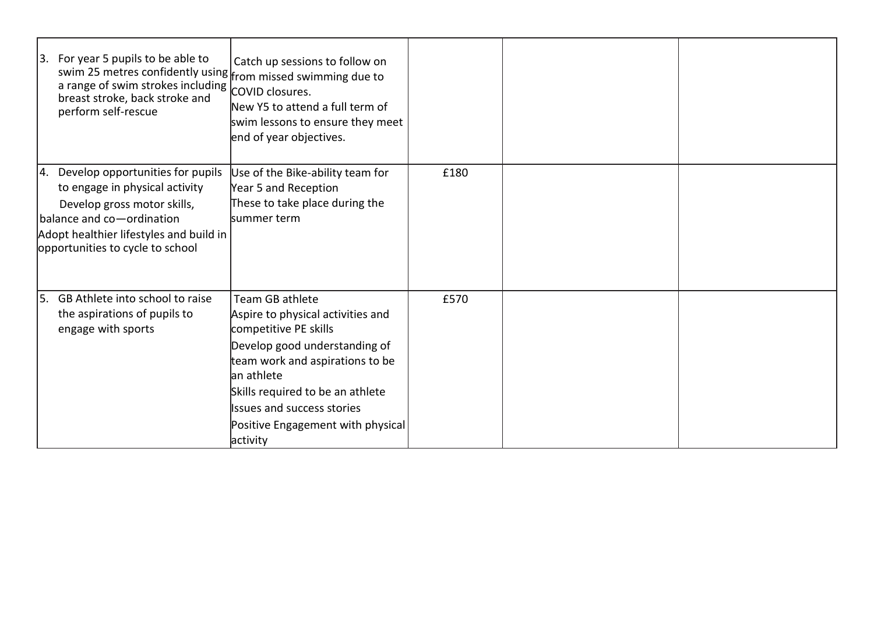| $ 3.$ For year 5 pupils to be able to<br>swim 25 metres confidently using from missed swimming due to<br>a range of swim strokes including COVID closures.<br>breast stroke, back stroke and<br>perform self-rescue | Catch up sessions to follow on<br>New Y5 to attend a full term of<br>swim lessons to ensure they meet<br>end of year objectives.                                                                                                                                                           |      |  |
|---------------------------------------------------------------------------------------------------------------------------------------------------------------------------------------------------------------------|--------------------------------------------------------------------------------------------------------------------------------------------------------------------------------------------------------------------------------------------------------------------------------------------|------|--|
| 4. Develop opportunities for pupils<br>to engage in physical activity<br>Develop gross motor skills,<br>balance and co-ordination<br>Adopt healthier lifestyles and build in<br>opportunities to cycle to school    | Use of the Bike-ability team for<br>Year 5 and Reception<br>These to take place during the<br>summer term                                                                                                                                                                                  | £180 |  |
| 5. GB Athlete into school to raise<br>the aspirations of pupils to<br>engage with sports                                                                                                                            | Team GB athlete<br>Aspire to physical activities and<br>competitive PE skills<br>Develop good understanding of<br>team work and aspirations to be<br>lan athlete<br>Skills required to be an athlete<br><b>Issues and success stories</b><br>Positive Engagement with physical<br>activity | £570 |  |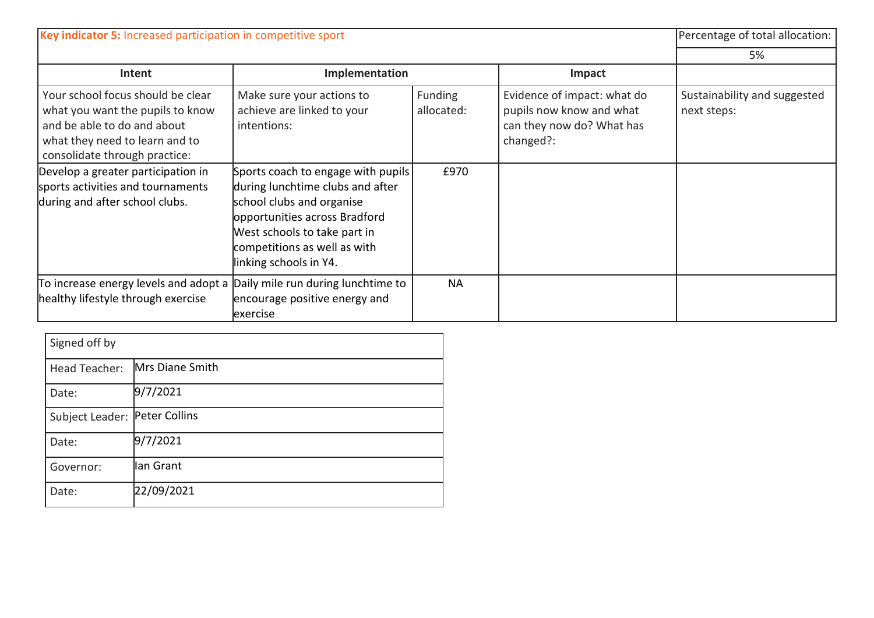| Key indicator 5: Increased participation in competitive sport                                                                                                           |                                                                                                                                                                                                                                |                       | Percentage of total allocation:                                                                   |                                             |
|-------------------------------------------------------------------------------------------------------------------------------------------------------------------------|--------------------------------------------------------------------------------------------------------------------------------------------------------------------------------------------------------------------------------|-----------------------|---------------------------------------------------------------------------------------------------|---------------------------------------------|
|                                                                                                                                                                         |                                                                                                                                                                                                                                |                       |                                                                                                   | 5%                                          |
| Intent                                                                                                                                                                  | Implementation                                                                                                                                                                                                                 |                       | Impact                                                                                            |                                             |
| Your school focus should be clear<br>what you want the pupils to know<br>and be able to do and about<br>what they need to learn and to<br>consolidate through practice: | Make sure your actions to<br>achieve are linked to your<br>intentions:                                                                                                                                                         | Funding<br>allocated: | Evidence of impact: what do<br>pupils now know and what<br>can they now do? What has<br>changed?: | Sustainability and suggested<br>next steps: |
| Develop a greater participation in<br>sports activities and tournaments<br>during and after school clubs.                                                               | Sports coach to engage with pupils<br>during lunchtime clubs and after<br>school clubs and organise<br>opportunities across Bradford<br>West schools to take part in<br>competitions as well as with<br>linking schools in Y4. | £970                  |                                                                                                   |                                             |
| To increase energy levels and adopt a<br>healthy lifestyle through exercise                                                                                             | Daily mile run during lunchtime to<br>encourage positive energy and<br>exercise                                                                                                                                                | <b>NA</b>             |                                                                                                   |                                             |

| Signed off by   |                 |  |
|-----------------|-----------------|--|
| Head Teacher:   | Mrs Diane Smith |  |
| Date:           | 9/7/2021        |  |
| Subject Leader: | Peter Collins   |  |
| Date:           | 9/7/2021        |  |
| Governor:       | llan Grant      |  |
| Date:           | 22/09/2021      |  |